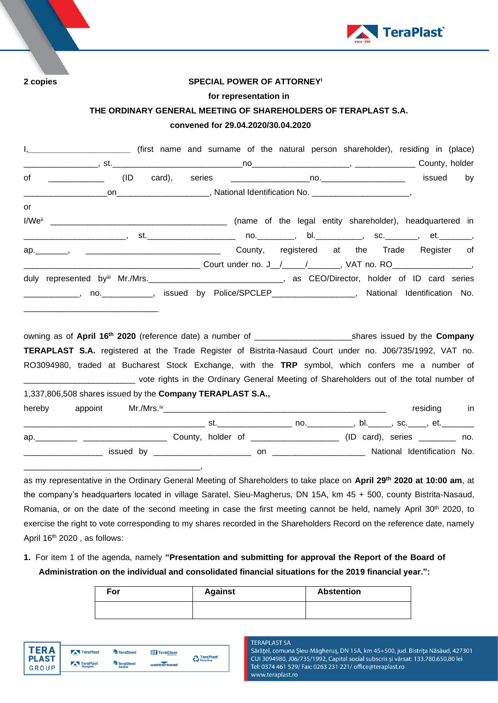

### **2 copies SPECIAL POWER OF ATTORNEY<sup>i</sup>**

#### **for representation in**

### **THE ORDINARY GENERAL MEETING OF SHAREHOLDERS OF TERAPLAST S.A.**

# **convened for 29.04.2020/30.04.2020**

|    | I, ____________________________ (first name and surname of the natural person shareholder), residing in (place) |  |  |  |                                                          |  |  |  |  |           |  |
|----|-----------------------------------------------------------------------------------------------------------------|--|--|--|----------------------------------------------------------|--|--|--|--|-----------|--|
|    |                                                                                                                 |  |  |  |                                                          |  |  |  |  |           |  |
| of |                                                                                                                 |  |  |  |                                                          |  |  |  |  | issued by |  |
|    |                                                                                                                 |  |  |  |                                                          |  |  |  |  |           |  |
| or |                                                                                                                 |  |  |  |                                                          |  |  |  |  |           |  |
|    |                                                                                                                 |  |  |  | (name of the legal entity shareholder), headquartered in |  |  |  |  |           |  |
|    |                                                                                                                 |  |  |  |                                                          |  |  |  |  |           |  |
|    |                                                                                                                 |  |  |  | County, registered at the Trade Register of              |  |  |  |  |           |  |
|    |                                                                                                                 |  |  |  |                                                          |  |  |  |  |           |  |
|    | duly represented by Mr./Mrs. CEO/Director, holder of ID card series                                             |  |  |  |                                                          |  |  |  |  |           |  |
|    | ______________, no. ____________, issued by Police/SPCLEP__________________, National Identification No.        |  |  |  |                                                          |  |  |  |  |           |  |
|    |                                                                                                                 |  |  |  |                                                          |  |  |  |  |           |  |

owning as of **April 16 th 2020** (reference date) a number of \_\_\_\_\_\_\_\_\_\_\_\_\_\_\_\_\_\_\_\_\_shares issued by the **Company TERAPLAST S.A.** registered at the Trade Register of Bistrita-Nasaud Court under no. J06/735/1992, VAT no. RO3094980, traded at Bucharest Stock Exchange, with the **TRP** symbol, which confers me a number of \_\_\_\_\_\_\_\_\_\_\_\_\_\_\_\_\_\_\_\_\_\_\_\_ vote rights in the Ordinary General Meeting of Shareholders out of the total number of 1,337,806,508 shares issued by the **Company TERAPLAST S.A.,** hereby appoint Mr./Mrs.iv\_\_\_\_\_\_\_\_\_\_\_\_\_\_\_\_\_\_\_\_\_\_\_\_\_\_\_\_\_\_\_\_\_\_\_\_\_\_\_\_\_\_\_\_\_\_\_\_ residing in

\_\_\_\_\_\_\_\_\_\_\_\_\_\_\_\_\_\_\_\_\_\_\_\_\_\_\_\_\_\_\_\_\_\_\_\_\_\_\_ st.\_\_\_\_\_\_\_\_\_\_\_\_\_\_\_\_ no.\_\_\_\_\_\_\_\_\_\_, bl.\_\_\_\_\_, sc.\_\_\_\_, et.\_\_\_\_\_\_\_ ap. \_\_\_\_\_\_\_\_\_ \_\_\_\_\_\_\_\_\_\_\_\_\_\_\_\_\_\_\_\_\_\_\_ County, holder of \_\_\_\_\_\_\_\_\_\_\_\_\_\_\_\_\_\_\_\_\_\_\_\_ (ID card), series \_\_\_\_\_\_\_\_\_ no. \_\_\_\_\_\_\_\_\_\_\_\_\_\_\_\_\_ issued by \_\_\_\_\_\_\_\_\_\_\_\_\_\_\_\_\_\_\_\_\_ on \_\_\_\_\_\_\_\_\_\_\_\_\_\_\_\_\_\_\_\_ National Identification No.

as my representative in the Ordinary General Meeting of Shareholders to take place on **April 29 th 2020 at 10:00 am**, at the company's headquarters located in village Saratel, Sieu-Magherus, DN 15A, km 45 + 500, county Bistrita-Nasaud, Romania, or on the date of the second meeting in case the first meeting cannot be held, namely April 30<sup>th</sup> 2020, to exercise the right to vote corresponding to my shares recorded in the Shareholders Record on the reference date, namely April 16<sup>th</sup> 2020, as follows:

**1.** For item 1 of the agenda, namely **"Presentation and submitting for approval the Report of the Board of Administration on the individual and consolidated financial situations for the 2019 financial year.":**

| For | <b>Against</b> | <b>Abstention</b> |
|-----|----------------|-------------------|
|     |                |                   |



\_\_\_\_\_\_\_\_\_\_\_\_\_\_\_\_\_\_\_\_\_\_\_\_\_\_\_\_\_\_\_\_\_\_\_\_\_\_,

**TERAPLAST SA** 

Sărățel, comuna Șieu-Măgheruș, DN 15A, km 45+500, jud. Bistrița Năsăud, 427301 CUI 3094980, J06/735/1992, Capital social subscris și vărsat: 133.780.650,80 lei Tel: 0374 461 529/ Fax: 0263 231 221/ office@teraplast.ro www.teraplast.ro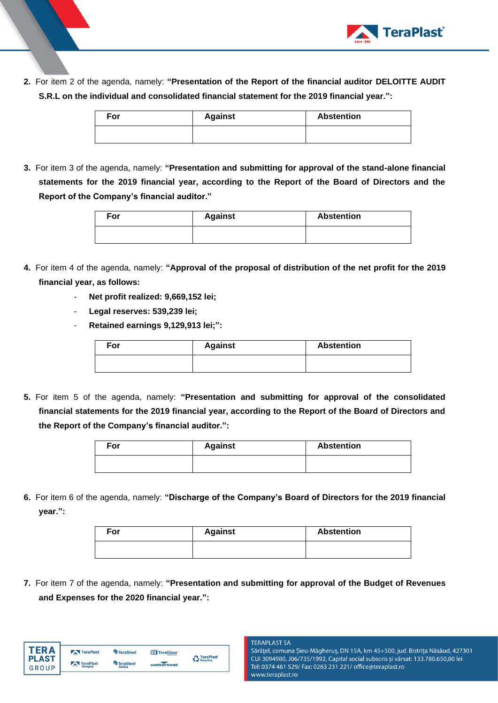

**2.** For item 2 of the agenda, namely: **"Presentation of the Report of the financial auditor DELOITTE AUDIT S.R.L on the individual and consolidated financial statement for the 2019 financial year.":**

| For | <b>Against</b> | <b>Abstention</b> |
|-----|----------------|-------------------|
|     |                |                   |

**3.** For item 3 of the agenda, namely: **"Presentation and submitting for approval of the stand-alone financial statements for the 2019 financial year, according to the Report of the Board of Directors and the Report of the Company's financial auditor."**

| For | <b>Against</b> | <b>Abstention</b> |
|-----|----------------|-------------------|
|     |                |                   |

- **4.** For item 4 of the agenda, namely: **"Approval of the proposal of distribution of the net profit for the 2019 financial year, as follows:** 
	- **Net profit realized: 9,669,152 lei;**
	- **Legal reserves: 539,239 lei;**
	- **Retained earnings 9,129,913 lei;":**

| For | <b>Against</b> | <b>Abstention</b> |
|-----|----------------|-------------------|
|     |                |                   |

**5.** For item 5 of the agenda, namely: **"Presentation and submitting for approval of the consolidated financial statements for the 2019 financial year, according to the Report of the Board of Directors and the Report of the Company's financial auditor.":**

| For | <b>Against</b> | <b>Abstention</b> |
|-----|----------------|-------------------|
|     |                |                   |

**6.** For item 6 of the agenda, namely: **"Discharge of the Company's Board of Directors for the 2019 financial year.":**

| For | <b>Against</b> | <b>Abstention</b> |
|-----|----------------|-------------------|
|     |                |                   |

**7.** For item 7 of the agenda, namely: **"Presentation and submitting for approval of the Budget of Revenues and Expenses for the 2020 financial year.":**

| FR A         | TeraPlast                             | TeraSteel        | TeraGlass  | <b>A</b> TeraPlast |
|--------------|---------------------------------------|------------------|------------|--------------------|
| <b>PLAST</b> | $\overline{\phantom{a}}$<br>TeraPlast | <b>TeraSteel</b> |            | Recycling          |
| GROUP        | $\overline{\phantom{m}}$<br>Hungary   | <b>Serbia</b>    | wetterbest |                    |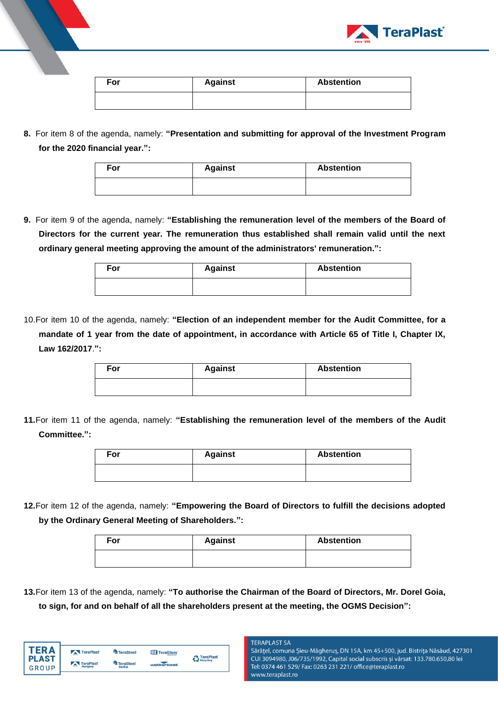

| For | <b>Against</b> | <b>Abstention</b> |
|-----|----------------|-------------------|
|     |                |                   |

**8.** For item 8 of the agenda, namely: **"Presentation and submitting for approval of the Investment Program for the 2020 financial year.":**

| For | <b>Against</b> | <b>Abstention</b> |
|-----|----------------|-------------------|
|     |                |                   |

**9.** For item 9 of the agenda, namely: **"Establishing the remuneration level of the members of the Board of Directors for the current year. The remuneration thus established shall remain valid until the next ordinary general meeting approving the amount of the administrators' remuneration.":**

| For | <b>Against</b> | <b>Abstention</b> |
|-----|----------------|-------------------|
|     |                |                   |

10.For item 10 of the agenda, namely: **"Election of an independent member for the Audit Committee, for a mandate of 1 year from the date of appointment, in accordance with Article 65 of Title I, Chapter IX, Law 162/2017**.**":**

| For | <b>Against</b> | <b>Abstention</b> |
|-----|----------------|-------------------|
|     |                |                   |

**11.**For item 11 of the agenda, namely: **"Establishing the remuneration level of the members of the Audit Committee.":**

| For | <b>Against</b> | <b>Abstention</b> |  |  |
|-----|----------------|-------------------|--|--|
|     |                |                   |  |  |

**12.**For item 12 of the agenda, namely: **"Empowering the Board of Directors to fulfill the decisions adopted by the Ordinary General Meeting of Shareholders.":**

| For | <b>Against</b> | <b>Abstention</b> |
|-----|----------------|-------------------|
|     |                |                   |

**13.**For item 13 of the agenda, namely: **"To authorise the Chairman of the Board of Directors, Mr. Dorel Goia, to sign, for and on behalf of all the shareholders present at the meeting, the OGMS Decision":**

| FR A                  | TeraPlast                   | <b>TeraSteel</b>           | TeraGlass  | <b>A</b> TeraPlast |
|-----------------------|-----------------------------|----------------------------|------------|--------------------|
| <b>PLAST</b><br>GROUP | TeraPlast<br>$-$<br>Hungary | TeraSteel<br><b>Serbia</b> | wetterbest | Recycling          |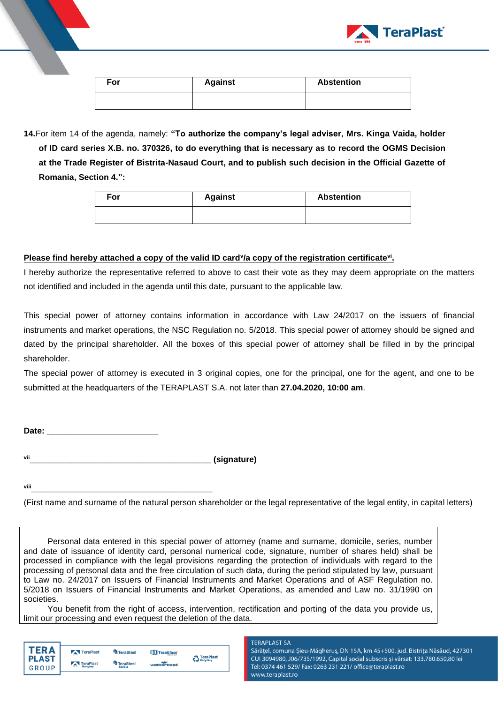

| For | <b>Against</b> | <b>Abstention</b> |
|-----|----------------|-------------------|
|     |                |                   |

**14.**For item 14 of the agenda, namely: **"To authorize the company's legal adviser, Mrs. Kinga Vaida, holder of ID card series X.B. no. 370326, to do everything that is necessary as to record the OGMS Decision at the Trade Register of Bistrita-Nasaud Court, and to publish such decision in the Official Gazette of Romania, Section 4.":**

| For | <b>Against</b> | <b>Abstention</b> |
|-----|----------------|-------------------|
|     |                |                   |

# **Please find hereby attached a copy of the valid ID card<sup>y</sup>/a copy of the registration certificate<sup>vi</sup>.**

I hereby authorize the representative referred to above to cast their vote as they may deem appropriate on the matters not identified and included in the agenda until this date, pursuant to the applicable law.

This special power of attorney contains information in accordance with Law 24/2017 on the issuers of financial instruments and market operations, the NSC Regulation no. 5/2018. This special power of attorney should be signed and dated by the principal shareholder. All the boxes of this special power of attorney shall be filled in by the principal shareholder.

The special power of attorney is executed in 3 original copies, one for the principal, one for the agent, and one to be submitted at the headquarters of the TERAPLAST S.A. not later than **27.04.2020, 10:00 am**.

**Date: \_\_\_\_\_\_\_\_\_\_\_\_\_\_\_\_\_\_\_\_\_\_\_\_**

**vii\_\_\_\_\_\_\_\_\_\_\_\_\_\_\_\_\_\_\_\_\_\_\_\_\_\_\_\_\_\_\_\_\_\_\_\_\_\_\_ (signature)**

**viii\_\_\_\_\_\_\_\_\_\_\_\_\_\_\_\_\_\_\_\_\_\_\_\_\_\_\_\_\_\_\_\_\_\_\_\_\_\_\_**

(First name and surname of the natural person shareholder or the legal representative of the legal entity, in capital letters)

Personal data entered in this special power of attorney (name and surname, domicile, series, number and date of issuance of identity card, personal numerical code, signature, number of shares held) shall be processed in compliance with the legal provisions regarding the protection of individuals with regard to the processing of personal data and the free circulation of such data, during the period stipulated by law, pursuant to Law no. 24/2017 on Issuers of Financial Instruments and Market Operations and of ASF Regulation no. 5/2018 on Issuers of Financial Instruments and Market Operations, as amended and Law no. 31/1990 on societies.

You benefit from the right of access, intervention, rectification and porting of the data you provide us, limit our processing and even request the deletion of the data.

| ER A                  | TeraPlast                            | <b>TeraSteel</b>                  | TeraGlass  | <b>A</b> TeraPlast |
|-----------------------|--------------------------------------|-----------------------------------|------------|--------------------|
| <b>PLAST</b><br>GROUP | TeraPlast<br><b>COLOR</b><br>Hungary | <b>TeraSteel</b><br><b>Serbia</b> | wetterbest | Recycling          |

#### **TERAPLAST SA**

Sărățel, comuna Șieu-Măgheruș, DN 15A, km 45+500, jud. Bistrița Năsăud, 427301 CUI 3094980, J06/735/1992, Capital social subscris și vărsat: 133.780.650,80 lei Tel: 0374 461 529/ Fax: 0263 231 221/ office@teraplast.ro www.teraplast.ro